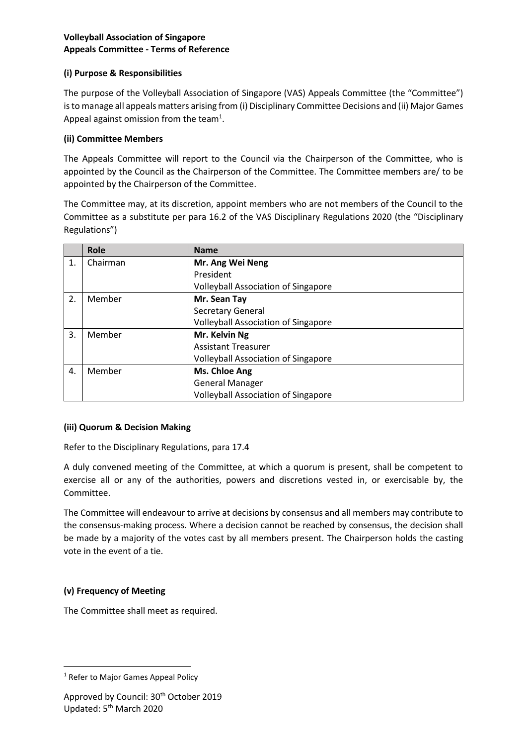## **Volleyball Association of Singapore Appeals Committee - Terms of Reference**

## **(i) Purpose & Responsibilities**

The purpose of the Volleyball Association of Singapore (VAS) Appeals Committee (the "Committee") is to manage all appeals matters arising from (i) Disciplinary Committee Decisions and (ii) Major Games Appeal against omission from the team<sup>1</sup>.

## **(ii) Committee Members**

The Appeals Committee will report to the Council via the Chairperson of the Committee, who is appointed by the Council as the Chairperson of the Committee. The Committee members are/ to be appointed by the Chairperson of the Committee.

The Committee may, at its discretion, appoint members who are not members of the Council to the Committee as a substitute per para 16.2 of the VAS Disciplinary Regulations 2020 (the "Disciplinary Regulations")

|    | Role     | <b>Name</b>                                |
|----|----------|--------------------------------------------|
| 1. | Chairman | Mr. Ang Wei Neng                           |
|    |          | President                                  |
|    |          | <b>Volleyball Association of Singapore</b> |
| 2. | Member   | Mr. Sean Tay                               |
|    |          | <b>Secretary General</b>                   |
|    |          | <b>Volleyball Association of Singapore</b> |
| 3. | Member   | Mr. Kelvin Ng                              |
|    |          | <b>Assistant Treasurer</b>                 |
|    |          | <b>Volleyball Association of Singapore</b> |
| 4. | Member   | Ms. Chloe Ang                              |
|    |          | <b>General Manager</b>                     |
|    |          | <b>Volleyball Association of Singapore</b> |

### **(iii) Quorum & Decision Making**

Refer to the Disciplinary Regulations, para 17.4

A duly convened meeting of the Committee, at which a quorum is present, shall be competent to exercise all or any of the authorities, powers and discretions vested in, or exercisable by, the Committee.

The Committee will endeavour to arrive at decisions by consensus and all members may contribute to the consensus-making process. Where a decision cannot be reached by consensus, the decision shall be made by a majority of the votes cast by all members present. The Chairperson holds the casting vote in the event of a tie.

# **(v) Frequency of Meeting**

The Committee shall meet as required.

<sup>&</sup>lt;sup>1</sup> Refer to Major Games Appeal Policy